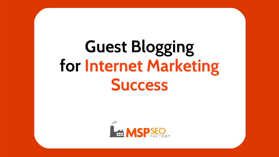# **Guest Blogging for Internet Marketing Success**

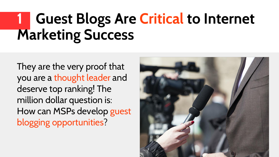### **1 Guest Blogs Are Critical to Internet Marketing Success**

They are the very proof that you are a thought leader and deserve top ranking! The million dollar question is: How can MSPs develop guest blogging opportunities?

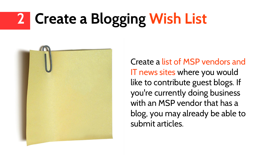# **2 Create a Blogging Wish List**



Create a list of MSP vendors and IT news sites where you would like to contribute guest blogs. If you're currently doing business with an MSP vendor that has a blog, you may already be able to submit articles.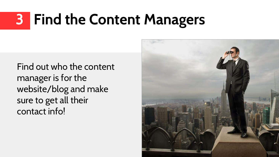## **3 Find the Content Managers**

Find out who the content manager is for the website/blog and make sure to get all their contact info!

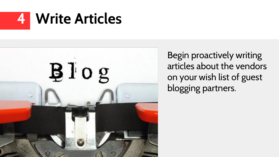



Begin proactively writing articles about the vendors on your wish list of guest blogging partners.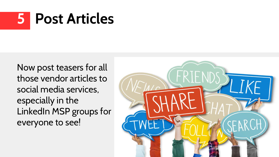## **5 Post Articles**

Now post teasers for all those vendor articles to social media services, especially in the LinkedIn MSP groups for everyone to see!

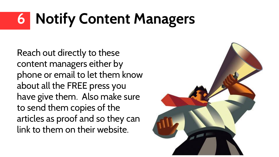# **6 Notify Content Managers**

Reach out directly to these content managers either by phone or email to let them know about all the FREE press you have give them. Also make sure to send them copies of the articles as proof and so they can link to them on their website.

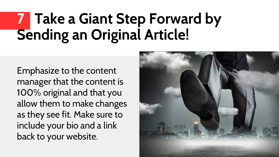### **7 Take a Giant Step Forward by Sending an Original Article!**

Emphasize to the content manager that the content is 100% original and that you allow them to make changes as they see fit. Make sure to include your bio and a link back to your website.

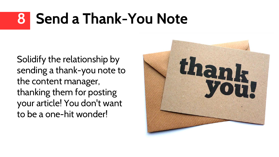## **8 Send a Thank-You Note**

Solidify the relationship by sending a thank-you note to the content manager, thanking them for posting your article! You don't want to be a one-hit wonder!

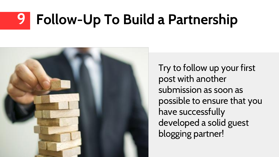## **9 Follow-Up To Build a Partnership**



Try to follow up your first post with another submission as soon as possible to ensure that you have successfully developed a solid guest blogging partner!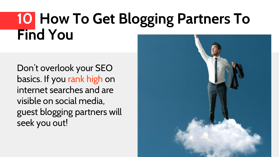#### **10 How To Get Blogging Partners To Find You**

Don't overlook your SEO basics. If you rank high on internet searches and are visible on social media, guest blogging partners will seek you out!

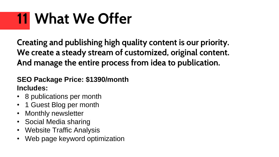# **11 What We Offer**

**Creating and publishing high quality content is our priority. We create a steady stream of customized, original content. And manage the entire process from idea to publication.** 

#### **SEO Package Price: \$1390/month Includes:**

- 8 publications per month
- 1 Guest Blog per month
- Monthly newsletter
- Social Media sharing
- Website Traffic Analysis
- Web page keyword optimization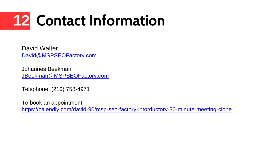# **12 Contact Information**

David Walter [David@MSPSEOFactory.com](mailto:David@MSPSEOFactory.com)

Johannes Beekman [JBeekman@MSPSEOFactory.com](mailto:JBeekman@MSPSEOFactory.com)

Telephone: (210) 758-4971

To book an appointment: <https://calendly.com/david-90/msp-seo-factory-intorductory-30-minute-meeting-clone>